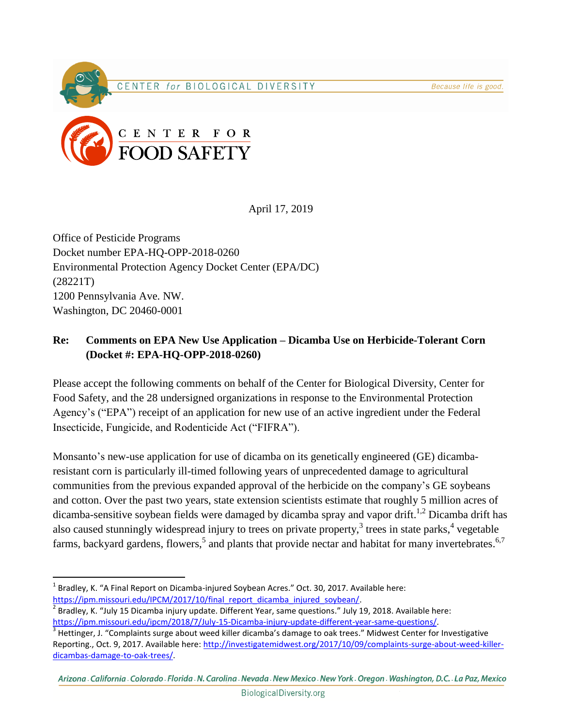## CENTER for BIOLOGICAL DIVERSITY



April 17, 2019

Office of Pesticide Programs Docket number EPA-HQ-OPP-2018-0260 Environmental Protection Agency Docket Center (EPA/DC) (28221T) 1200 Pennsylvania Ave. NW. Washington, DC 20460-0001

## **Re: Comments on EPA New Use Application – Dicamba Use on Herbicide-Tolerant Corn (Docket #: EPA-HQ-OPP-2018-0260)**

Please accept the following comments on behalf of the Center for Biological Diversity, Center for Food Safety, and the 28 undersigned organizations in response to the Environmental Protection Agency's ("EPA") receipt of an application for new use of an active ingredient under the Federal Insecticide, Fungicide, and Rodenticide Act ("FIFRA").

Monsanto's new-use application for use of dicamba on its genetically engineered (GE) dicambaresistant corn is particularly ill-timed following years of unprecedented damage to agricultural communities from the previous expanded approval of the herbicide on the company's GE soybeans and cotton. Over the past two years, state extension scientists estimate that roughly 5 million acres of dicamba-sensitive soybean fields were damaged by dicamba spray and vapor drift.<sup>1,2</sup> Dicamba drift has also caused stunningly widespread injury to trees on private property, $3$  trees in state parks,  $4$  vegetable farms, backyard gardens, flowers,<sup>5</sup> and plants that provide nectar and habitat for many invertebrates.<sup>6,7</sup>

 $\overline{a}$ 

 $^{1}$  Bradley, K. "A Final Report on Dicamba-injured Soybean Acres." Oct. 30, 2017. Available here: [https://ipm.missouri.edu/IPCM/2017/10/final\\_report\\_dicamba\\_injured\\_soybean/.](https://ipm.missouri.edu/IPCM/2017/10/final_report_dicamba_injured_soybean/)

 $^2$  Bradley, K. "July 15 Dicamba injury update. Different Year, same questions." July 19, 2018. Available here: [https://ipm.missouri.edu/ipcm/2018/7/July-15-Dicamba-injury-update-different-year-same-questions/.](https://ipm.missouri.edu/ipcm/2018/7/July-15-Dicamba-injury-update-different-year-same-questions/)

 $3$  Hettinger, J. "Complaints surge about weed killer dicamba's damage to oak trees." Midwest Center for Investigative Reporting., Oct. 9, 2017. Available here[: http://investigatemidwest.org/2017/10/09/complaints-surge-about-weed-killer](http://investigatemidwest.org/2017/10/09/complaints-surge-about-weed-killer-dicambas-damage-to-oak-trees/)[dicambas-damage-to-oak-trees/.](http://investigatemidwest.org/2017/10/09/complaints-surge-about-weed-killer-dicambas-damage-to-oak-trees/)

Arizona California Colorado Florida N. Carolina Nevada New Mexico New York Oregon Washington, D.C. La Paz, Mexico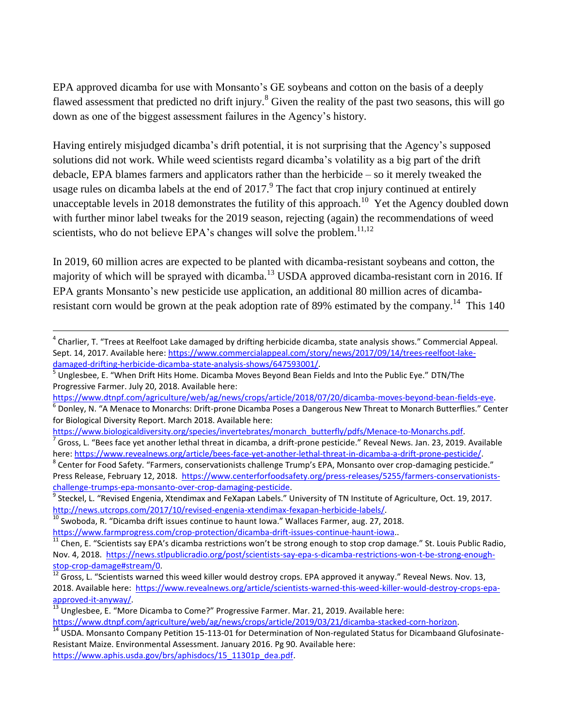EPA approved dicamba for use with Monsanto's GE soybeans and cotton on the basis of a deeply flawed assessment that predicted no drift injury.<sup>8</sup> Given the reality of the past two seasons, this will go down as one of the biggest assessment failures in the Agency's history.

Having entirely misjudged dicamba's drift potential, it is not surprising that the Agency's supposed solutions did not work. While weed scientists regard dicamba's volatility as a big part of the drift debacle, EPA blames farmers and applicators rather than the herbicide – so it merely tweaked the usage rules on dicamba labels at the end of  $2017$ . The fact that crop injury continued at entirely unacceptable levels in 2018 demonstrates the futility of this approach.<sup>10</sup> Yet the Agency doubled down with further minor label tweaks for the 2019 season, rejecting (again) the recommendations of weed scientists, who do not believe EPA's changes will solve the problem.<sup>11,12</sup>

In 2019, 60 million acres are expected to be planted with dicamba-resistant soybeans and cotton, the majority of which will be sprayed with dicamba.<sup>13</sup> USDA approved dicamba-resistant corn in 2016. If EPA grants Monsanto's new pesticide use application, an additional 80 million acres of dicambaresistant corn would be grown at the peak adoption rate of 89% estimated by the company.<sup>14</sup> This 140

 $\overline{a}$ 

[https://www.dtnpf.com/agriculture/web/ag/news/crops/article/2019/03/21/dicamba-stacked-corn-horizon.](https://www.dtnpf.com/agriculture/web/ag/news/crops/article/2019/03/21/dicamba-stacked-corn-horizon)

<sup>&</sup>lt;sup>4</sup> Charlier, T. "Trees at Reelfoot Lake damaged by drifting herbicide dicamba, state analysis shows." Commercial Appeal. Sept. 14, 2017. Available here[: https://www.commercialappeal.com/story/news/2017/09/14/trees-reelfoot-lake](https://www.commercialappeal.com/story/news/2017/09/14/trees-reelfoot-lake-damaged-drifting-herbicide-dicamba-state-analysis-shows/647593001/)[damaged-drifting-herbicide-dicamba-state-analysis-shows/647593001/.](https://www.commercialappeal.com/story/news/2017/09/14/trees-reelfoot-lake-damaged-drifting-herbicide-dicamba-state-analysis-shows/647593001/)

<sup>&</sup>lt;sup>5</sup> Unglesbee, E. "When Drift Hits Home. Dicamba Moves Beyond Bean Fields and Into the Public Eye." DTN/The Progressive Farmer. July 20, 2018. Available here:

[https://www.dtnpf.com/agriculture/web/ag/news/crops/article/2018/07/20/dicamba-moves-beyond-bean-fields-eye.](https://www.dtnpf.com/agriculture/web/ag/news/crops/article/2018/07/20/dicamba-moves-beyond-bean-fields-eye)

<sup>6</sup> Donley, N. "A Menace to Monarchs: Drift-prone Dicamba Poses a Dangerous New Threat to Monarch Butterflies." Center for Biological Diversity Report. March 2018. Available here:

[https://www.biologicaldiversity.org/species/invertebrates/monarch\\_butterfly/pdfs/Menace-to-Monarchs.pdf.](https://www.biologicaldiversity.org/species/invertebrates/monarch_butterfly/pdfs/Menace-to-Monarchs.pdf)<br>7 Cross L. "Boos fase vet another lethal threat in disamba, a drift prope perticide." Boyeal Nows, Jan. 22, 2010

Gross, L. "Bees face yet another lethal threat in dicamba, a drift-prone pesticide." Reveal News. Jan. 23, 2019. Available here: [https://www.revealnews.org/article/bees-face-yet-another-lethal-threat-in-dicamba-a-drift-prone-pesticide/.](https://www.revealnews.org/article/bees-face-yet-another-lethal-threat-in-dicamba-a-drift-prone-pesticide/)

<sup>&</sup>lt;sup>8</sup> Center for Food Safety. "Farmers, conservationists challenge Trump's EPA, Monsanto over crop-damaging pesticide." Press Release, February 12, 2018. [https://www.centerforfoodsafety.org/press-releases/5255/farmers-conservationists](https://www.centerforfoodsafety.org/press-releases/5255/farmers-conservationists-challenge-trumps-epa-monsanto-over-crop-damaging-pesticide)[challenge-trumps-epa-monsanto-over-crop-damaging-pesticide.](https://www.centerforfoodsafety.org/press-releases/5255/farmers-conservationists-challenge-trumps-epa-monsanto-over-crop-damaging-pesticide)

<sup>&</sup>lt;sup>9</sup> Steckel, L. "Revised Engenia, Xtendimax and FeXapan Labels." University of TN Institute of Agriculture, Oct. 19, 2017. [http://news.utcrops.com/2017/10/revised-engenia-xtendimax-fexapan-herbicide-labels/.](http://news.utcrops.com/2017/10/revised-engenia-xtendimax-fexapan-herbicide-labels/)

 $\frac{10}{10}$  Swoboda, R. "Dicamba drift issues continue to haunt Iowa." Wallaces Farmer, aug. 27, 2018.

[https://www.farmprogress.com/crop-protection/dicamba-drift-issues-continue-haunt-iowa.](https://www.farmprogress.com/crop-protection/dicamba-drift-issues-continue-haunt-iowa).

 $11$  Chen, E. "Scientists say EPA's dicamba restrictions won't be strong enough to stop crop damage." St. Louis Public Radio, Nov. 4, 2018. [https://news.stlpublicradio.org/post/scientists-say-epa-s-dicamba-restrictions-won-t-be-strong-enough](https://news.stlpublicradio.org/post/scientists-say-epa-s-dicamba-restrictions-won-t-be-strong-enough-stop-crop-damage#stream/0)[stop-crop-damage#stream/0.](https://news.stlpublicradio.org/post/scientists-say-epa-s-dicamba-restrictions-won-t-be-strong-enough-stop-crop-damage#stream/0)

 $\frac{12}{12}$  Gross, L. "Scientists warned this weed killer would destroy crops. EPA approved it anyway." Reveal News. Nov. 13, 2018. Available here: [https://www.revealnews.org/article/scientists-warned-this-weed-killer-would-destroy-crops-epa](https://www.revealnews.org/article/scientists-warned-this-weed-killer-would-destroy-crops-epa-approved-it-anyway/)[approved-it-anyway/.](https://www.revealnews.org/article/scientists-warned-this-weed-killer-would-destroy-crops-epa-approved-it-anyway/)

 $^{13}$  Unglesbee, E. "More Dicamba to Come?" Progressive Farmer. Mar. 21, 2019. Available here:

 $14$  USDA. Monsanto Company Petition 15-113-01 for Determination of Non-regulated Status for Dicambaand Glufosinate-Resistant Maize. Environmental Assessment. January 2016. Pg 90. Available here: [https://www.aphis.usda.gov/brs/aphisdocs/15\\_11301p\\_dea.pdf.](https://www.aphis.usda.gov/brs/aphisdocs/15_11301p_dea.pdf)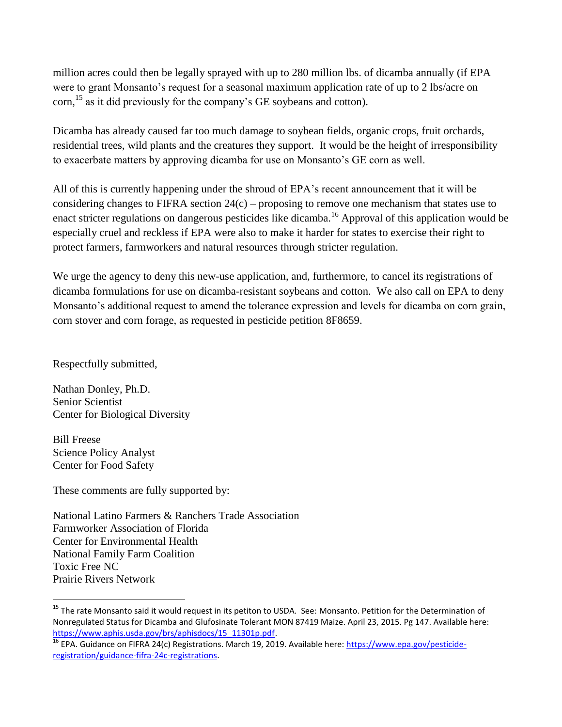million acres could then be legally sprayed with up to 280 million lbs. of dicamba annually (if EPA were to grant Monsanto's request for a seasonal maximum application rate of up to 2 lbs/acre on corn,<sup>15</sup> as it did previously for the company's GE soybeans and cotton).

Dicamba has already caused far too much damage to soybean fields, organic crops, fruit orchards, residential trees, wild plants and the creatures they support. It would be the height of irresponsibility to exacerbate matters by approving dicamba for use on Monsanto's GE corn as well.

All of this is currently happening under the shroud of EPA's recent announcement that it will be considering changes to FIFRA section 24(c) – proposing to remove one mechanism that states use to enact stricter regulations on dangerous pesticides like dicamba.<sup>16</sup> Approval of this application would be especially cruel and reckless if EPA were also to make it harder for states to exercise their right to protect farmers, farmworkers and natural resources through stricter regulation.

We urge the agency to deny this new-use application, and, furthermore, to cancel its registrations of dicamba formulations for use on dicamba-resistant soybeans and cotton. We also call on EPA to deny Monsanto's additional request to amend the tolerance expression and levels for dicamba on corn grain, corn stover and corn forage, as requested in pesticide petition 8F8659.

Respectfully submitted,

Nathan Donley, Ph.D. Senior Scientist Center for Biological Diversity

Bill Freese Science Policy Analyst Center for Food Safety

 $\overline{a}$ 

These comments are fully supported by:

National Latino Farmers & Ranchers Trade Association Farmworker Association of Florida Center for Environmental Health National Family Farm Coalition Toxic Free NC Prairie Rivers Network

<sup>&</sup>lt;sup>15</sup> The rate Monsanto said it would request in its petiton to USDA. See: Monsanto. Petition for the Determination of Nonregulated Status for Dicamba and Glufosinate Tolerant MON 87419 Maize. April 23, 2015. Pg 147. Available here: [https://www.aphis.usda.gov/brs/aphisdocs/15\\_11301p.pdf.](https://www.aphis.usda.gov/brs/aphisdocs/15_11301p.pdf)

<sup>&</sup>lt;sup>16</sup> EPA. Guidance on FIFRA 24(c) Registrations. March 19, 2019. Available here[: https://www.epa.gov/pesticide](https://www.epa.gov/pesticide-registration/guidance-fifra-24c-registrations)[registration/guidance-fifra-24c-registrations.](https://www.epa.gov/pesticide-registration/guidance-fifra-24c-registrations)